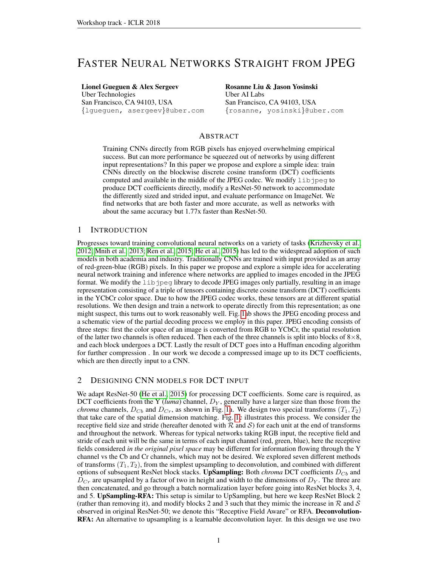# FASTER NEURAL NETWORKS STRAIGHT FROM JPEG

Lionel Gueguen & Alex Sergeev Uber Technologies San Francisco, CA 94103, USA {lgueguen, asergeev}@uber.com Rosanne Liu & Jason Yosinski Uber AI Labs San Francisco, CA 94103, USA {rosanne, yosinski}@uber.com

### ABSTRACT

Training CNNs directly from RGB pixels has enjoyed overwhelming empirical success. But can more performance be squeezed out of networks by using different input representations? In this paper we propose and explore a simple idea: train CNNs directly on the blockwise discrete cosine transform (DCT) coefficients computed and available in the middle of the JPEG codec. We modify  $\bot \bot b$  jpeg to produce DCT coefficients directly, modify a ResNet-50 network to accommodate the differently sized and strided input, and evaluate performance on ImageNet. We find networks that are both faster and more accurate, as well as networks with about the same accuracy but 1.77x faster than ResNet-50.

#### 1 INTRODUCTION

Progresses toward training convolutional neural networks on a variety of tasks [\(Krizhevsky et al.,](#page-3-0) [2012;](#page-3-0) [Mnih et al., 2013;](#page-3-1) [Ren et al., 2015;](#page-3-2) [He et al., 2015\)](#page-3-3) has led to the widespread adoption of such models in both academia and industry. Traditionally CNNs are trained with input provided as an array of red-green-blue (RGB) pixels. In this paper we propose and explore a simple idea for accelerating neural network training and inference where networks are applied to images encoded in the JPEG format. We modify the libjpeg library to decode JPEG images only partially, resulting in an image representation consisting of a triple of tensors containing discrete cosine transform (DCT) coefficients in the YCbCr color space. Due to how the JPEG codec works, these tensors are at different spatial resolutions. We then design and train a network to operate directly from this representation; as one might suspect, this turns out to work reasonably well. Fig. [1a](#page-1-0)b shows the JPEG encoding process and a schematic view of the partial decoding process we employ in this paper. JPEG encoding consists of three steps: first the color space of an image is converted from RGB to YCbCr, the spatial resolution of the latter two channels is often reduced. Then each of the three channels is split into blocks of  $8\times 8$ , and each block undergoes a DCT. Lastly the result of DCT goes into a Huffman encoding algorithm for further compression . In our work we decode a compressed image up to its DCT coefficients, which are then directly input to a CNN.

### <span id="page-0-0"></span>2 DESIGNING CNN MODELS FOR DCT INPUT

We adapt ResNet-50 [\(He et al., 2015\)](#page-3-3) for processing DCT coefficients. Some care is required, as DCT coefficients from the Y (*luma*) channel,  $D<sub>Y</sub>$ , generally have a larger size than those from the *chroma* channels,  $D_{Cb}$  and  $D_{Cr}$ , as shown in Fig. [1a](#page-1-0). We design two special transforms  $(T_1, T_2)$ that take care of the spatial dimension matching. Fig. [1c](#page-1-0) illustrates this process. We consider the receptive field size and stride (hereafter denoted with  $R$  and  $S$ ) for each unit at the end of transforms and throughout the network. Whereas for typical networks taking RGB input, the receptive field and stride of each unit will be the same in terms of each input channel (red, green, blue), here the receptive fields considered *in the original pixel space* may be different for information flowing through the Y channel vs the Cb and Cr channels, which may not be desired. We explored seven different methods of transforms  $(T_1, T_2)$ , from the simplest upsampling to deconvolution, and combined with different options of subsequent ResNet block stacks. UpSampling: Both *chroma* DCT coefficients  $D_{Cb}$  and  $D_{Cr}$  are upsampled by a factor of two in height and width to the dimensions of  $D_Y$ . The three are then concatenated, and go through a batch normalization layer before going into ResNet blocks 3, 4, and 5. UpSampling-RFA: This setup is similar to UpSampling, but here we keep ResNet Block 2 (rather than removing it), and modify blocks 2 and 3 such that they mimic the increase in  $\mathcal R$  and  $\mathcal S$ observed in original ResNet-50; we denote this "Receptive Field Aware" or RFA. Deconvolution-RFA: An alternative to upsampling is a learnable deconvolution layer. In this design we use two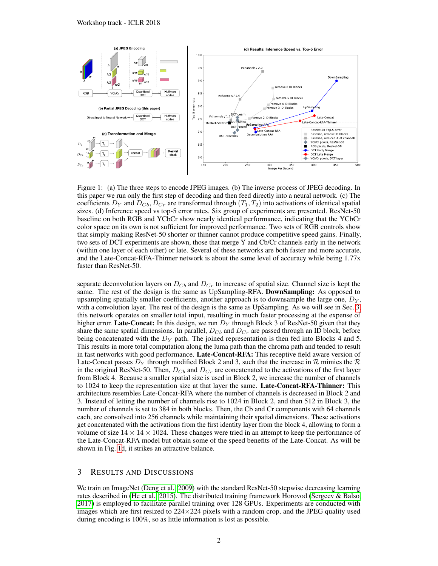

<span id="page-1-0"></span>Figure 1: (a) The three steps to encode JPEG images. (b) The inverse process of JPEG decoding. In this paper we run only the first step of decoding and then feed directly into a neural network. (c) The coefficients  $D_Y$  and  $D_{Cb}$ ,  $D_{Cr}$  are transformed through  $(T_1, T_2)$  into activations of identical spatial sizes. (d) Inference speed vs top-5 error rates. Six group of experiments are presented. ResNet-50 baseline on both RGB and YCbCr show nearly identical performance, indicating that the YCbCr color space on its own is not sufficient for improved performance. Two sets of RGB controls show that simply making ResNet-50 shorter or thinner cannot produce competitive speed gains. Finally, two sets of DCT experiments are shown, those that merge Y and Cb/Cr channels early in the network (within one layer of each other) or late. Several of these networks are both faster and more accurate, and the Late-Concat-RFA-Thinner network is about the same level of accuracy while being 1.77x faster than ResNet-50.

separate deconvolution layers on  $D_{Cb}$  and  $D_{Cr}$  to increase of spatial size. Channel size is kept the same. The rest of the design is the same as UpSampling-RFA. DownSampling: As opposed to upsampling spatially smaller coefficients, another approach is to downsample the large one,  $D<sub>Y</sub>$ , with a convolution layer. The rest of the design is the same as UpSampling. As we will see in Sec. [3,](#page-1-1) this network operates on smaller total input, resulting in much faster processing at the expense of higher error. Late-Concat: In this design, we run  $D<sub>Y</sub>$  through Block 3 of ResNet-50 given that they share the same spatial dimensions. In parallel,  $D_{Cb}$  and  $D_{Cr}$  are passed through an ID block, before being concatenated with the  $D<sub>Y</sub>$  path. The joined representation is then fed into Blocks 4 and 5. This results in more total computation along the luma path than the chroma path and tended to result in fast networks with good performance. Late-Concat-RFA: This receptive field aware version of Late-Concat passes  $D_Y$  through modified Block 2 and 3, such that the increase in R mimics the R in the original ResNet-50. Then,  $D_{Cb}$  and  $D_{Cr}$  are concatenated to the activations of the first layer from Block 4. Because a smaller spatial size is used in Block 2, we increase the number of channels to 1024 to keep the representation size at that layer the same. Late-Concat-RFA-Thinner: This architecture resembles Late-Concat-RFA where the number of channels is decreased in Block 2 and 3. Instead of letting the number of channels rise to 1024 in Block 2, and then 512 in Block 3, the number of channels is set to 384 in both blocks. Then, the Cb and Cr components with 64 channels each, are convolved into 256 channels while maintaining their spatial dimensions. These activations get concatenated with the activations from the first identity layer from the block 4, allowing to form a volume of size  $14 \times 14 \times 1024$ . These changes were tried in an attempt to keep the performance of the Late-Concat-RFA model but obtain some of the speed benefits of the Late-Concat. As will be shown in Fig. [1d](#page-1-0), it strikes an attractive balance.

## <span id="page-1-1"></span>3 RESULTS AND DISCUSSIONS

We train on ImageNet [\(Deng et al., 2009\)](#page-3-4) with the standard ResNet-50 stepwise decreasing learning rates described in [\(He et al., 2015\)](#page-3-3). The distributed training framework Horovod [\(Sergeev & Balso,](#page-3-5) [2017\)](#page-3-5) is employed to facilitate parallel training over 128 GPUs. Experiments are conducted with images which are first resized to  $224 \times 224$  pixels with a random crop, and the JPEG quality used during encoding is 100%, so as little information is lost as possible.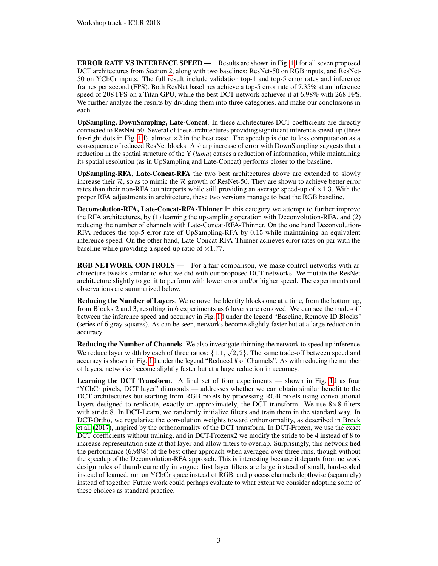ERROR RATE VS INFERENCE SPEED — Results are shown in Fig. [1d](#page-1-0) for all seven proposed DCT architectures from Section [2,](#page-0-0) along with two baselines: ResNet-50 on RGB inputs, and ResNet-50 on YCbCr inputs. The full result include validation top-1 and top-5 error rates and inference frames per second (FPS). Both ResNet baselines achieve a top-5 error rate of 7.35% at an inference speed of 208 FPS on a Titan GPU, while the best DCT network achieves it at 6.98% with 268 FPS. We further analyze the results by dividing them into three categories, and make our conclusions in each.

UpSampling, DownSampling, Late-Concat. In these architectures DCT coefficients are directly connected to ResNet-50. Several of these architectures providing significant inference speed-up (three far-right dots in Fig. [1d](#page-1-0)), almost  $\times 2$  in the best case. The speedup is due to less computation as a consequence of reduced ResNet blocks. A sharp increase of error with DownSampling suggests that a reduction in the spatial structure of the Y (*luma*) causes a reduction of information, while maintaining its spatial resolution (as in UpSampling and Late-Concat) performs closer to the baseline.

UpSampling-RFA, Late-Concat-RFA the two best architectures above are extended to slowly increase their  $\mathcal{R}$ , so as to mimic the  $\mathcal{R}$  growth of ResNet-50. They are shown to achieve better error rates than their non-RFA counterparts while still providing an average speed-up of  $\times$ 1.3. With the proper RFA adjustments in architecture, these two versions manage to beat the RGB baseline.

Deconvolution-RFA, Late-Concat-RFA-Thinner In this category we attempt to further improve the RFA architectures, by (1) learning the upsampling operation with Deconvolution-RFA, and (2) reducing the number of channels with Late-Concat-RFA-Thinner. On the one hand Deconvolution-RFA reduces the top-5 error rate of UpSampling-RFA by 0.15 while maintaining an equivalent inference speed. On the other hand, Late-Concat-RFA-Thinner achieves error rates on par with the baseline while providing a speed-up ratio of  $\times$ 1.77.

RGB NETWORK CONTROLS — For a fair comparison, we make control networks with architecture tweaks similar to what we did with our proposed DCT networks. We mutate the ResNet architecture slightly to get it to perform with lower error and/or higher speed. The experiments and observations are summarized below.

Reducing the Number of Layers. We remove the Identity blocks one at a time, from the bottom up, from Blocks 2 and 3, resulting in 6 experiments as 6 layers are removed. We can see the trade-off between the inference speed and accuracy in Fig. [1d](#page-1-0) under the legend "Baseline, Remove ID Blocks" (series of 6 gray squares). As can be seen, networks become slightly faster but at a large reduction in accuracy.

Reducing the Number of Channels. We also investigate thinning the network to speed up inference. We reduce layer width by each of three ratios:  $\{1.1, \sqrt{2}, 2\}$ . The same trade-off between speed and accuracy is shown in Fig. [1d](#page-1-0) under the legend "Reduced # of Channels". As with reducing the number of layers, networks become slightly faster but at a large reduction in accuracy.

Learning the DCT Transform. A final set of four experiments — shown in Fig. [1d](#page-1-0) as four "YCbCr pixels, DCT layer" diamonds — addresses whether we can obtain similar benefit to the DCT architectures but starting from RGB pixels by processing RGB pixels using convolutional layers designed to replicate, exactly or approximately, the DCT transform. We use  $8\times8$  filters with stride 8. In DCT-Learn, we randomly initialize filters and train them in the standard way. In DCT-Ortho, we regularize the convolution weights toward orthonormality, as described in [Brock](#page-3-6) [et al.](#page-3-6) [\(2017\)](#page-3-6), inspired by the orthonormality of the DCT transform. In DCT-Frozen, we use the exact DCT coefficients without training, and in DCT-Frozenx2 we modify the stride to be 4 instead of 8 to increase representation size at that layer and allow filters to overlap. Surprisingly, this network tied the performance (6.98%) of the best other approach when averaged over three runs, though without the speedup of the Deconvolution-RFA approach. This is interesting because it departs from network design rules of thumb currently in vogue: first layer filters are large instead of small, hard-coded instead of learned, run on YCbCr space instead of RGB, and process channels depthwise (separately) instead of together. Future work could perhaps evaluate to what extent we consider adopting some of these choices as standard practice.